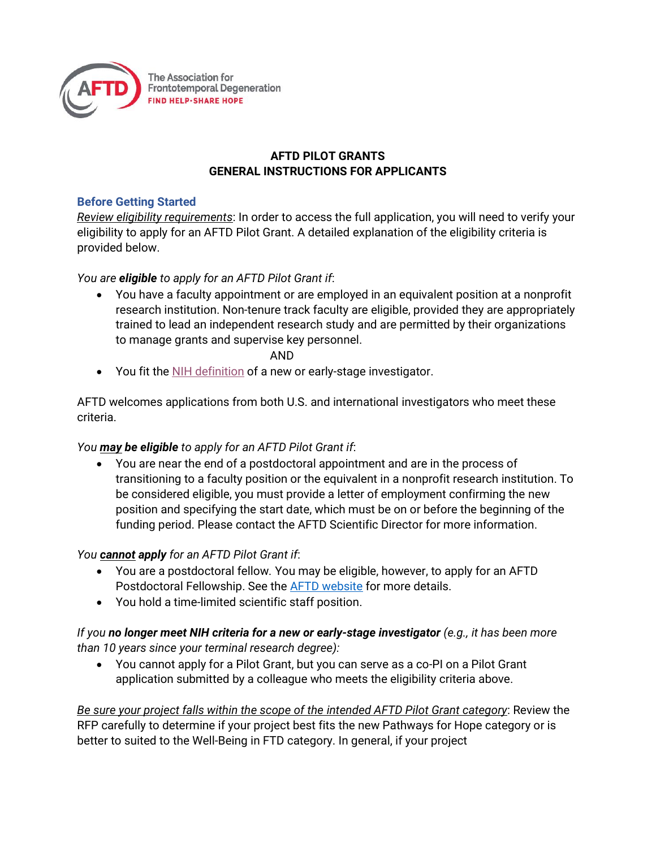

# **AFTD PILOT GRANTS GENERAL INSTRUCTIONS FOR APPLICANTS**

### **Before Getting Started**

*Review eligibility requirements*: In order to access the full application, you will need to verify your eligibility to apply for an AFTD Pilot Grant. A detailed explanation of the eligibility criteria is provided below.

# *You are eligible to apply for an AFTD Pilot Grant if*:

• You have a faculty appointment or are employed in an equivalent position at a nonprofit research institution. Non-tenure track faculty are eligible, provided they are appropriately trained to lead an independent research study and are permitted by their organizations to manage grants and supervise key personnel.

#### AND

• You fit th[e NIH definition](https://grants.nih.gov/policy/new_investigators/index.htm) of a new or early-stage investigator.

AFTD welcomes applications from both U.S. and international investigators who meet these criteria.

# *You may be eligible to apply for an AFTD Pilot Grant if*:

• You are near the end of a postdoctoral appointment and are in the process of transitioning to a faculty position or the equivalent in a nonprofit research institution. To be considered eligible, you must provide a letter of employment confirming the new position and specifying the start date, which must be on or before the beginning of the funding period. Please contact the AFTD Scientific Director for more information.

# *You cannot apply for an AFTD Pilot Grant if*:

- You are a postdoctoral fellow*.* You may be eligible, however, to apply for an AFTD Postdoctoral Fellowship. See the [AFTD website](https://www.theaftd.org/for-researchers/funding-opportunities/aftd-postdoctoral-fellowships/) for more details.
- You hold a time-limited scientific staff position.

# *If you no longer meet NIH criteria for a new or early-stage investigator (e.g., it has been more than 10 years since your terminal research degree):*

• You cannot apply for a Pilot Grant, but you can serve as a co-PI on a Pilot Grant application submitted by a colleague who meets the eligibility criteria above.

*Be sure your project falls within the scope of the intended AFTD Pilot Grant category*: Review the RFP carefully to determine if your project best fits the new Pathways for Hope category or is better to suited to the Well-Being in FTD category. In general, if your project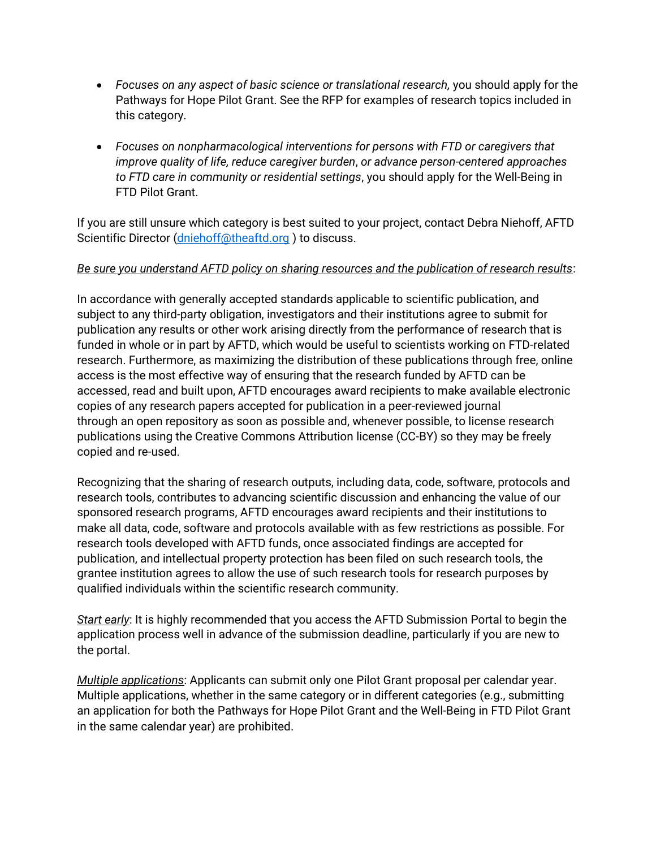- *Focuses on any aspect of basic science or translational research,* you should apply for the Pathways for Hope Pilot Grant. See the RFP for examples of research topics included in this category.
- *Focuses on nonpharmacological interventions for persons with FTD or caregivers that improve quality of life, reduce caregiver burden*, *or advance person-centered approaches to FTD care in community or residential settings*, you should apply for the Well-Being in FTD Pilot Grant.

If you are still unsure which category is best suited to your project, contact Debra Niehoff, AFTD Scientific Director [\(dniehoff@theaftd.org](mailto:dniehoff@theaftd.org)) to discuss.

### *Be sure you understand AFTD policy on sharing resources and the publication of research results*:

In accordance with generally accepted standards applicable to scientific publication, and subject to any third-party obligation, investigators and their institutions agree to submit for publication any results or other work arising directly from the performance of research that is funded in whole or in part by AFTD, which would be useful to scientists working on FTD-related research. Furthermore, as maximizing the distribution of these publications through free, online access is the most effective way of ensuring that the research funded by AFTD can be accessed, read and built upon, AFTD encourages award recipients to make available electronic copies of any research papers accepted for publication in a peer-reviewed journal through an open repository as soon as possible and, whenever possible, to license research publications using the Creative Commons Attribution license (CC-BY) so they may be freely copied and re-used.

Recognizing that the sharing of research outputs, including data, code, software, protocols and research tools, contributes to advancing scientific discussion and enhancing the value of our sponsored research programs, AFTD encourages award recipients and their institutions to make all data, code, software and protocols available with as few restrictions as possible. For research tools developed with AFTD funds, once associated findings are accepted for publication, and intellectual property protection has been filed on such research tools, the grantee institution agrees to allow the use of such research tools for research purposes by qualified individuals within the scientific research community.

*Start early*: It is highly recommended that you access the AFTD Submission Portal to begin the application process well in advance of the submission deadline, particularly if you are new to the portal.

*Multiple applications*: Applicants can submit only one Pilot Grant proposal per calendar year. Multiple applications, whether in the same category or in different categories (e.g., submitting an application for both the Pathways for Hope Pilot Grant and the Well-Being in FTD Pilot Grant in the same calendar year) are prohibited.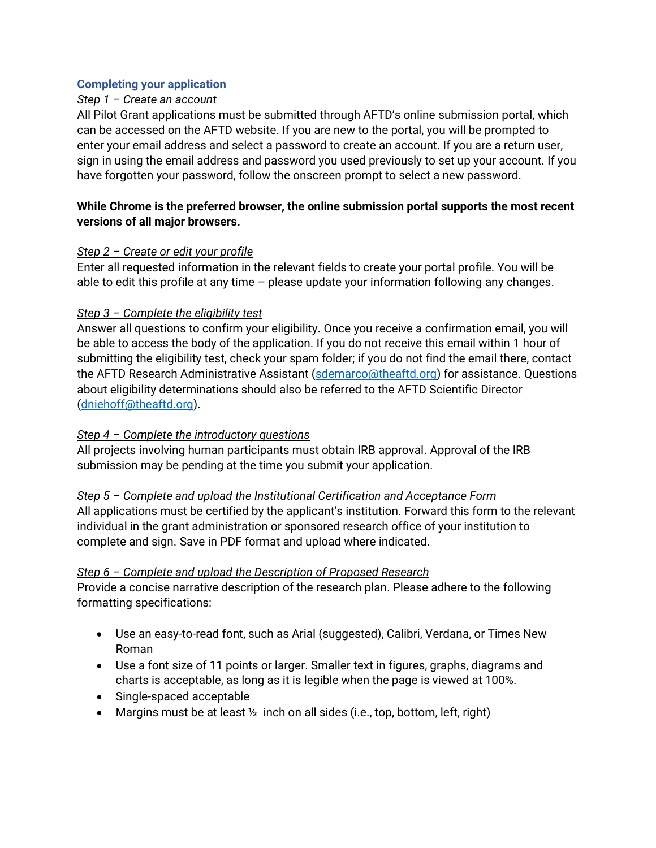### **Completing your application**

### *Step 1 – Create an account*

All Pilot Grant applications must be submitted through AFTD's online submission portal, which can be accessed on the AFTD website. If you are new to the portal, you will be prompted to enter your email address and select a password to create an account. If you are a return user, sign in using the email address and password you used previously to set up your account. If you have forgotten your password, follow the onscreen prompt to select a new password.

### **While Chrome is the preferred browser, the online submission portal supports the most recent versions of all major browsers.**

#### *Step 2 – Create or edit your profile*

Enter all requested information in the relevant fields to create your portal profile. You will be able to edit this profile at any time – please update your information following any changes.

### *Step 3 – Complete the eligibility test*

Answer all questions to confirm your eligibility. Once you receive a confirmation email, you will be able to access the body of the application. If you do not receive this email within 1 hour of submitting the eligibility test, check your spam folder; if you do not find the email there, contact the AFTD Research Administrative Assistant [\(sdemarco@theaftd.org\)](mailto:sdemarco@theaftd.org) for assistance. Questions about eligibility determinations should also be referred to the AFTD Scientific Director [\(dniehoff@theaftd.org\)](mailto:dniehoff@theaftd.org).

# *Step 4 – Complete the introductory questions*

All projects involving human participants must obtain IRB approval. Approval of the IRB submission may be pending at the time you submit your application.

#### *Step 5 – Complete and upload the Institutional Certification and Acceptance Form*

All applications must be certified by the applicant's institution. Forward this form to the relevant individual in the grant administration or sponsored research office of your institution to complete and sign. Save in PDF format and upload where indicated.

#### *Step 6 – Complete and upload the Description of Proposed Research*

Provide a concise narrative description of the research plan. Please adhere to the following formatting specifications:

- Use an easy-to-read font, such as Arial (suggested), Calibri, Verdana, or Times New Roman
- Use a font size of 11 points or larger. Smaller text in figures, graphs, diagrams and charts is acceptable, as long as it is legible when the page is viewed at 100%.
- Single-spaced acceptable
- Margins must be at least  $\frac{1}{2}$  inch on all sides (i.e., top, bottom, left, right)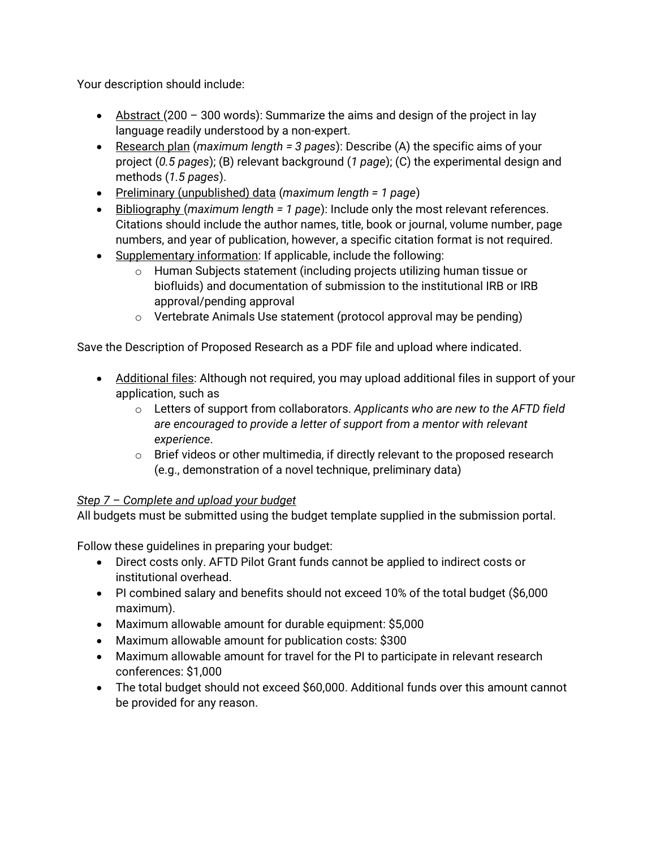Your description should include:

- Abstract (200 300 words): Summarize the aims and design of the project in lay language readily understood by a non-expert.
- Research plan (*maximum length = 3 pages*): Describe (A) the specific aims of your project (*0.5 pages*); (B) relevant background (*1 page*); (C) the experimental design and methods (*1.5 pages*).
- Preliminary (unpublished) data (*maximum length = 1 page*)
- Bibliography (*maximum length = 1 page*): Include only the most relevant references. Citations should include the author names, title, book or journal, volume number, page numbers, and year of publication, however, a specific citation format is not required.
- Supplementary information: If applicable, include the following:
	- o Human Subjects statement (including projects utilizing human tissue or biofluids) and documentation of submission to the institutional IRB or IRB approval/pending approval
	- o Vertebrate Animals Use statement (protocol approval may be pending)

Save the Description of Proposed Research as a PDF file and upload where indicated.

- Additional files: Although not required, you may upload additional files in support of your application, such as
	- o Letters of support from collaborators. *Applicants who are new to the AFTD field are encouraged to provide a letter of support from a mentor with relevant experience*.
	- $\circ$  Brief videos or other multimedia, if directly relevant to the proposed research (e.g., demonstration of a novel technique, preliminary data)

# *Step 7 – Complete and upload your budget*

All budgets must be submitted using the budget template supplied in the submission portal.

Follow these guidelines in preparing your budget:

- Direct costs only. AFTD Pilot Grant funds cannot be applied to indirect costs or institutional overhead.
- PI combined salary and benefits should not exceed 10% of the total budget (\$6,000 maximum).
- Maximum allowable amount for durable equipment: \$5,000
- Maximum allowable amount for publication costs: \$300
- Maximum allowable amount for travel for the PI to participate in relevant research conferences: \$1,000
- The total budget should not exceed \$60,000. Additional funds over this amount cannot be provided for any reason.